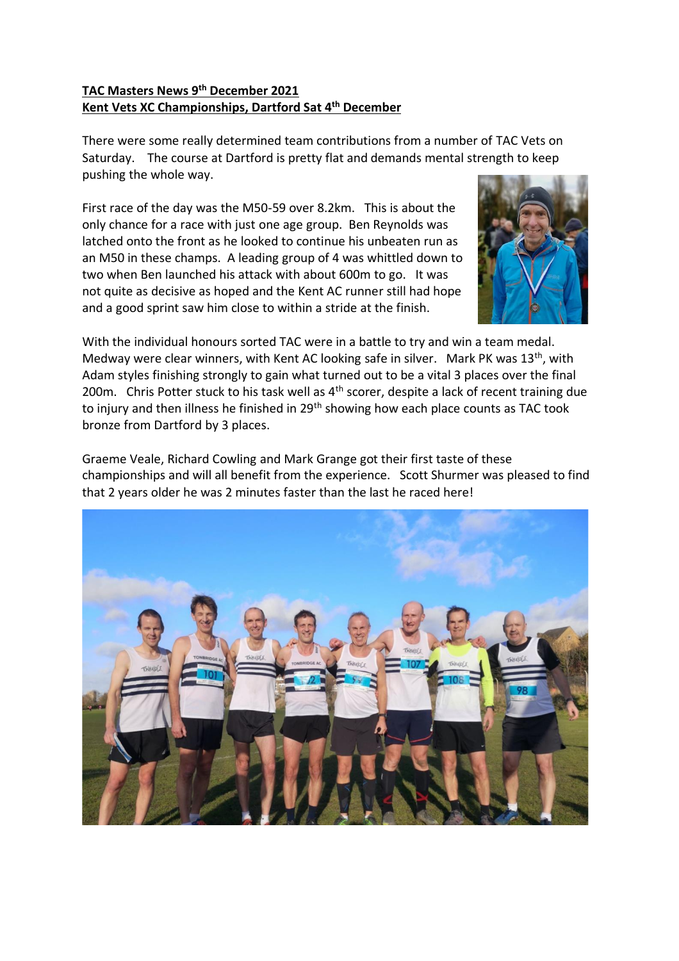## **TAC Masters News 9th December 2021 Kent Vets XC Championships, Dartford Sat 4th December**

There were some really determined team contributions from a number of TAC Vets on Saturday. The course at Dartford is pretty flat and demands mental strength to keep pushing the whole way.

First race of the day was the M50-59 over 8.2km. This is about the only chance for a race with just one age group. Ben Reynolds was latched onto the front as he looked to continue his unbeaten run as an M50 in these champs. A leading group of 4 was whittled down to two when Ben launched his attack with about 600m to go. It was not quite as decisive as hoped and the Kent AC runner still had hope and a good sprint saw him close to within a stride at the finish.



With the individual honours sorted TAC were in a battle to try and win a team medal. Medway were clear winners, with Kent AC looking safe in silver. Mark PK was 13<sup>th</sup>, with Adam styles finishing strongly to gain what turned out to be a vital 3 places over the final 200m. Chris Potter stuck to his task well as  $4<sup>th</sup>$  scorer, despite a lack of recent training due to injury and then illness he finished in 29<sup>th</sup> showing how each place counts as TAC took bronze from Dartford by 3 places.

Graeme Veale, Richard Cowling and Mark Grange got their first taste of these championships and will all benefit from the experience. Scott Shurmer was pleased to find that 2 years older he was 2 minutes faster than the last he raced here!

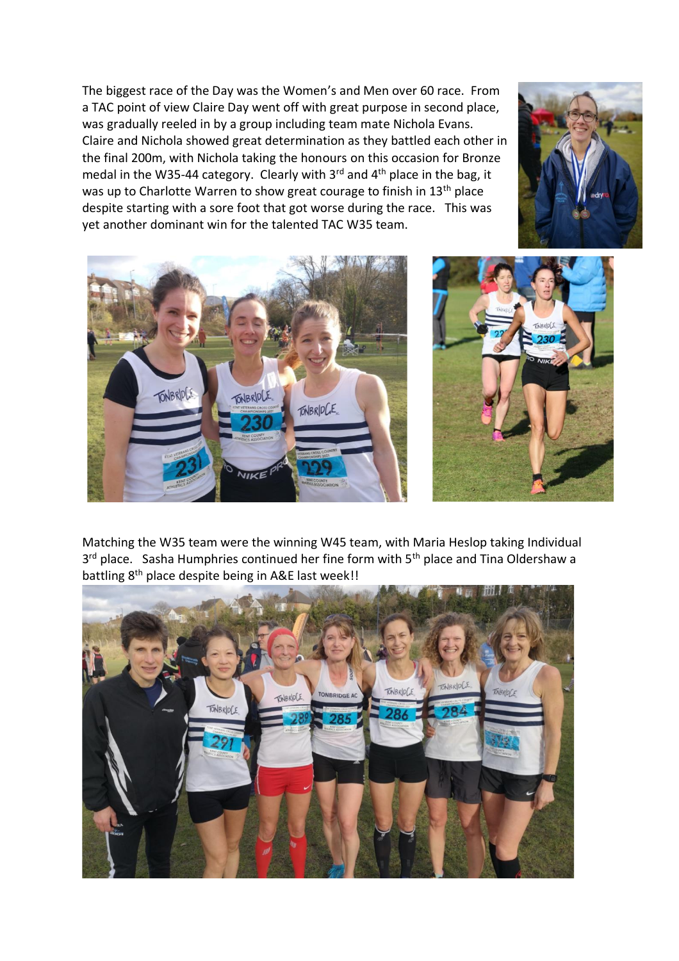The biggest race of the Day was the Women's and Men over 60 race. From a TAC point of view Claire Day went off with great purpose in second place, was gradually reeled in by a group including team mate Nichola Evans. Claire and Nichola showed great determination as they battled each other in the final 200m, with Nichola taking the honours on this occasion for Bronze medal in the W35-44 category. Clearly with 3<sup>rd</sup> and 4<sup>th</sup> place in the bag, it was up to Charlotte Warren to show great courage to finish in 13<sup>th</sup> place despite starting with a sore foot that got worse during the race. This was yet another dominant win for the talented TAC W35 team.







Matching the W35 team were the winning W45 team, with Maria Heslop taking Individual 3<sup>rd</sup> place. Sasha Humphries continued her fine form with 5<sup>th</sup> place and Tina Oldershaw a battling 8<sup>th</sup> place despite being in A&E last week!!

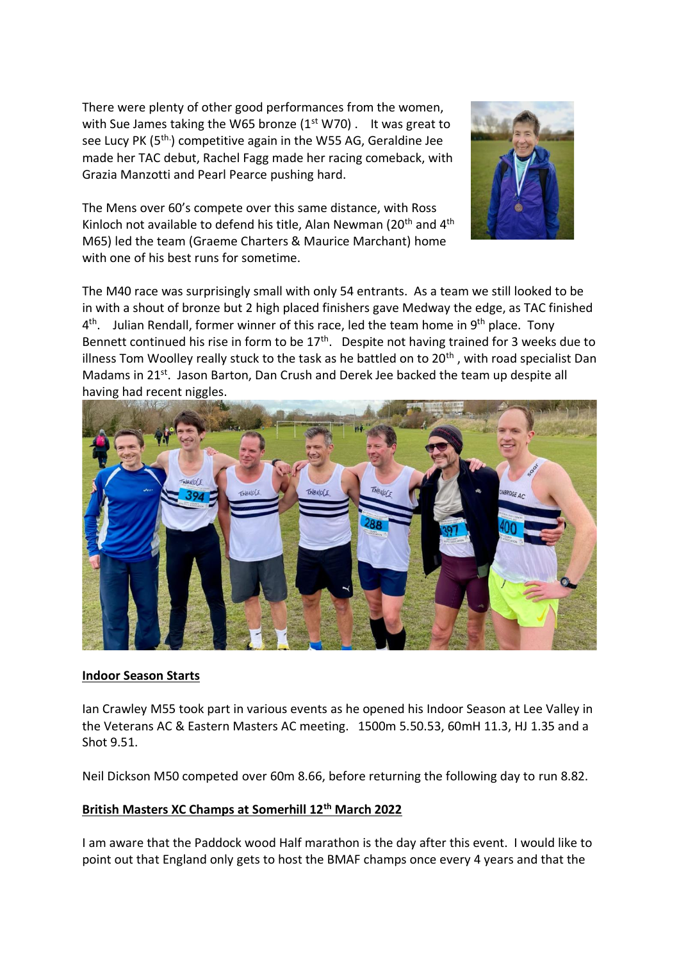There were plenty of other good performances from the women, with Sue James taking the W65 bronze  $(1<sup>st</sup> W70)$ . It was great to see Lucy PK (5<sup>th.</sup>) competitive again in the W55 AG, Geraldine Jee made her TAC debut, Rachel Fagg made her racing comeback, with Grazia Manzotti and Pearl Pearce pushing hard.



The Mens over 60's compete over this same distance, with Ross Kinloch not available to defend his title, Alan Newman (20<sup>th</sup> and 4<sup>th</sup> M65) led the team (Graeme Charters & Maurice Marchant) home with one of his best runs for sometime.

The M40 race was surprisingly small with only 54 entrants. As a team we still looked to be in with a shout of bronze but 2 high placed finishers gave Medway the edge, as TAC finished 4<sup>th</sup>. Julian Rendall, former winner of this race, led the team home in 9<sup>th</sup> place. Tony Bennett continued his rise in form to be  $17<sup>th</sup>$ . Despite not having trained for 3 weeks due to illness Tom Woolley really stuck to the task as he battled on to 20<sup>th</sup>, with road specialist Dan Madams in 21<sup>st</sup>. Jason Barton, Dan Crush and Derek Jee backed the team up despite all having had recent niggles.



## **Indoor Season Starts**

Ian Crawley M55 took part in various events as he opened his Indoor Season at Lee Valley in the Veterans AC & Eastern Masters AC meeting. 1500m 5.50.53, 60mH 11.3, HJ 1.35 and a Shot 9.51.

Neil Dickson M50 competed over 60m 8.66, before returning the following day to run 8.82.

## **British Masters XC Champs at Somerhill 12th March 2022**

I am aware that the Paddock wood Half marathon is the day after this event. I would like to point out that England only gets to host the BMAF champs once every 4 years and that the